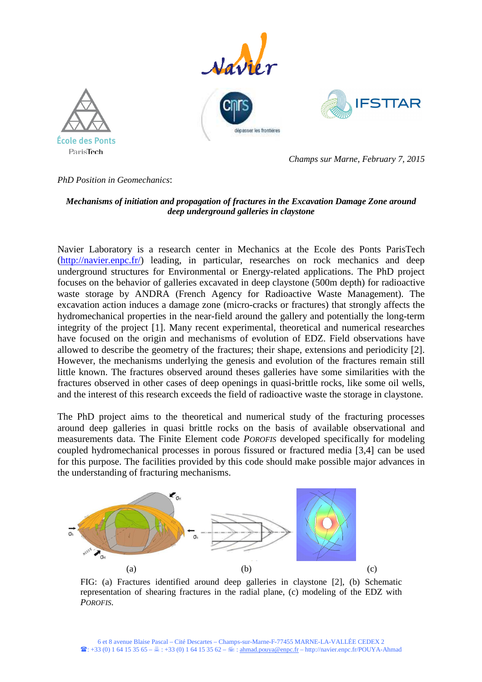



*Champs sur Marne, February 7, 2015* 

## *PhD Position in Geomechanics*:

## *Mechanisms of initiation and propagation of fractures in the Excavation Damage Zone around deep underground galleries in claystone*

Navier Laboratory is a research center in Mechanics at the Ecole des Ponts ParisTech (http://navier.enpc.fr/) leading, in particular, researches on rock mechanics and deep underground structures for Environmental or Energy-related applications. The PhD project focuses on the behavior of galleries excavated in deep claystone (500m depth) for radioactive waste storage by ANDRA (French Agency for Radioactive Waste Management). The excavation action induces a damage zone (micro-cracks or fractures) that strongly affects the hydromechanical properties in the near-field around the gallery and potentially the long-term integrity of the project [1]. Many recent experimental, theoretical and numerical researches have focused on the origin and mechanisms of evolution of EDZ. Field observations have allowed to describe the geometry of the fractures; their shape, extensions and periodicity [2]. However, the mechanisms underlying the genesis and evolution of the fractures remain still little known. The fractures observed around theses galleries have some similarities with the fractures observed in other cases of deep openings in quasi-brittle rocks, like some oil wells, and the interest of this research exceeds the field of radioactive waste the storage in claystone.

The PhD project aims to the theoretical and numerical study of the fracturing processes around deep galleries in quasi brittle rocks on the basis of available observational and measurements data. The Finite Element code *POROFIS* developed specifically for modeling coupled hydromechanical processes in porous fissured or fractured media [3,4] can be used for this purpose. The facilities provided by this code should make possible major advances in the understanding of fracturing mechanisms.



FIG: (a) Fractures identified around deep galleries in claystone [2], (b) Schematic representation of shearing fractures in the radial plane, (c) modeling of the EDZ with *POROFIS*.